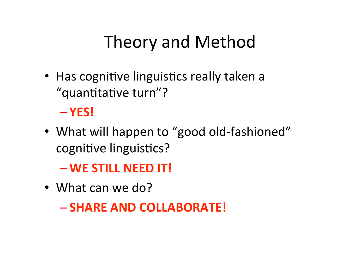## Theory and Method

• Has cognitive linguistics really taken a "quantitative turn"?

## – **YES!**

• What will happen to "good old-fashioned" cognitive linguistics?

–**WE STILL NEED IT!** 

• What can we do?

– **SHARE AND COLLABORATE!**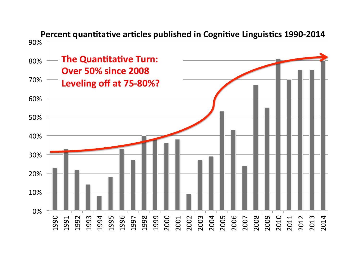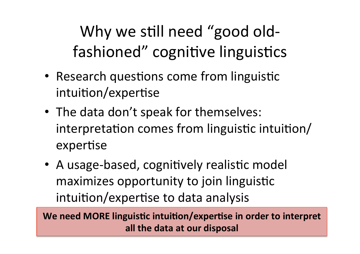Why we still need "good oldfashioned" cognitive linguistics

- Research questions come from linguistic intuition/expertise
- The data don't speak for themselves: interpretation comes from linguistic intuition/ expertise
- A usage-based, cognitively realistic model maximizes opportunity to join linguistic intuition/expertise to data analysis

We need MORE linguistic intuition/expertise in order to interpret **all the data at our disposal**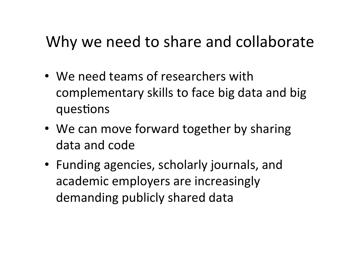## Why we need to share and collaborate

- We need teams of researchers with complementary skills to face big data and big questions
- We can move forward together by sharing data and code
- Funding agencies, scholarly journals, and academic employers are increasingly demanding publicly shared data